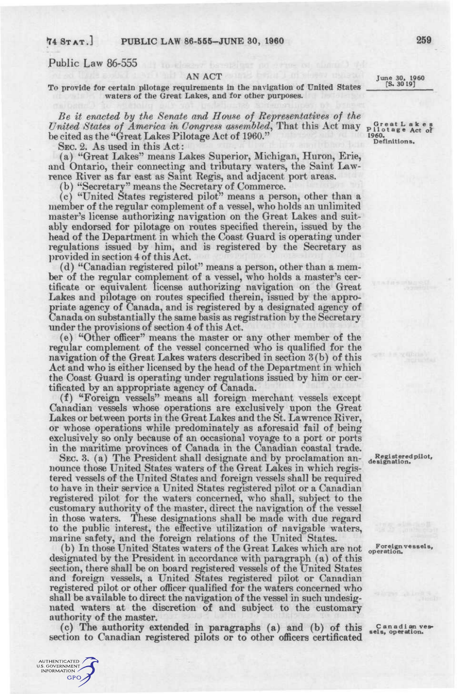# ^4 STAT. ] PUBLIC LAW 86-555-JUNE 30, 1960 259

### Public Law 86-555

#### AN ACT

### To provide for certain pilotage requirements in the navigation of United States waters of the Great Lakes, and for other purposes.

*Be it enacted by the Senate and House of Representatives of the United States of America in Congress assembled^* That this Act may be cited as the "Great Lakes Pilotage Act of 1960."

SEC. 2. As used in this Act:

(a) "Great Lakes" means Lakes Superior, Michigan, Huron, Erie, and Ontario, their connecting and tributary waters, the Saint Lawrence River as far east as Saint Regis, and adjacent port areas.

(b) "Secretary" means the Secretary of Commerce.

(c) "United States registered pilot" means a person, other than a member of the regular complement of a vessel, who holds an unlimited master's license authorizing navigation on the Great Lakes and suitably endorsed for pilotage on routes specified therein, issued by the head of the Department in which the Coast Guard is operating under regulations issued by him, and is registered by the Secretary as provided in section 4 of this Act.

(d) "Canadian registered pilot" means a person, other than a member of the regular complement of a vessel, who holds a master's certificate or equivalent license authorizing navigation on the Great Lakes and pilotage on routes specified therein, issued by the appropriate agency of Canada, and is registered by a designated agency of Canada on substantially the same basis as registration by the Secretary under the provisions of section 4 of this Act.

(e) "Other officer" means the master or any other member of the regular complement of the vessel concerned who is qualified for the navigation of the Great Lakes waters described in section 3(b) of this Act and who is either licensed by the head of the Department in which the Coast Guard is operating under regulations issued by him or certificated by an appropriate agency of Canada.

(f) "Foreign vessels" means all foreign merchant vessels except Canadian vessels whose operations are exclusively upon the Great Lakes or between ports in the Great Lakes and the St. Lawrence River, or whose operations while predominately as aforesaid fail of being exclusively so only because of an occasional voyage to a port or ports in the maritime provinces of Canada in the Canadian coastal trade.

SEC. 3. (a) The President shall designate and by proclamation announce those United States waters of the Great Lakes in which registered vessels of the United States and foreign vessels shall be required to have in their service a United States registered pilot or a Canadian registered pilot for the waters concerned, who shall, subject to the customary authority of the master, direct the navigation of the vessel in those waters. These designations shall be made with due regard to the public interest, the effective utilization of navigable waters, marine safety, and the foreign relations of the United States.

(b) In those United States waters of the Great Lakes which are not designated by the President in accordance with paragraph (a) of this section, there shall be on board registered vessels of the United States and foreign vessels, a United States registered pilot or Canadian registered pilot or other officer qualified for the waters concerned who shall be available to direct the navigation of the vessel in such undesignated waters at the discretion of and subject to the customary authority of the master.

(c) The authority extended in paragraphs (a) and (b) of this section to Canadian registered pilots or to other officers certificated

AUTHENTICATED<br>I.S. GOVERNMENT<br>INFORMATION **GPO**  **June 30, 1960 [S. 30 19]** 

**Grea t L a k e s Pilotag e Act ot 1960. Definitions.** 

**Registered pilot, designation.** 

**Foreign vessels, operation.** 

**C an ad i an ves-sels, operation.**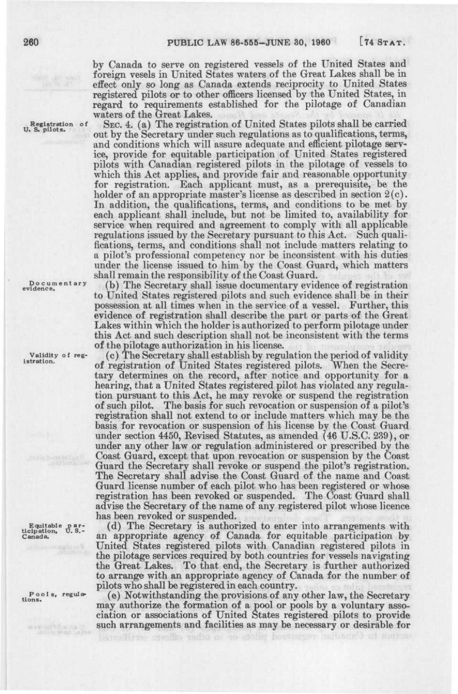by Canada to serve on registered vessels of the United States and foreign vesels in United States waters of the Great Lakes shall be in effect only so long as Canada extends reciprocity to United States registered pilots or to other officers licensed by the United States, in regard to requirements established for the pilotage of Canadian waters of the Great Lakes.

SEC. 4. (a) The registration of United States pilots shall be carried out by the Secretary under such regulations as to qualifications, terms, and conditions which will assure adequate and efficient pilotage service, provide for equitable participation of United States registered pilots with Canadian registered pilots in the pilotage of vessels to which this Act applies, and provide fair and reasonable opportunity for registration. Each applicant must, as a prerequisite, be the holder of an appropriate master's license as described in section  $2(c)$ . In addition, the qualifications, terms, and conditions to be met by each applicant shall include, but not be limited to, availability for service when required and agreement to comply with all applicable regulations issued by the Secretary pursuant to this Act. Such qualifications, terms, and conditions shall not include matters relating to a pilot's professional competency nor be inconsistent with his duties under the license issued to him by the Coast Guard, which matters shall remain the responsibility of the Coast Guard.

(b) The Secretary shall issue documentary evidence of registration to United States registered pilots and such evidence shall be in their possession at all times when in the service of a vessel. Further, this evidence of registration shall describe the part or parts of the Great Lakes within which the holder is authorized to perform pilotage under this Act and such description shall not be inconsistent with the terms of the pilotage authorization in his license.

(c) The Secretary shall establish by regulation the period of validity of registration of United States registered pilots. When the Secretary determines on the record, after notice and opportunity for a hearing, that a United States registered pilot has violated any regulation pursuant to this Act, he may revoke or suspend the registration of such pilot. The basis for such revocation or suspension of a pilot's registration shall not extend to or include matters which may be the basis for revocation or suspension of his license by the Coast Guard under section 4450, Revised Statutes, as amended (46 U.S.C. 239), or under any other law or regulation administered or prescribed by the Coast Guard, except that upon revocation or suspension by the Coast Guard the Secretary shall revoke or suspend the pilot's registration. The Secretary shall advise the Coast Guard of the name and Coast Guard license number of each pilot who has been registered or whose registration has been revoked or suspended. The Coast Guard shall advise the Secretary of the name of any registered pilot whose licence has been revoked or suspended.

(d) The Secretary is authorized to enter into arrangements with an appropriate agency of Canada for equitable participation by United States registered pilots with Canadian registered pilots in the pilotage services required by both countries for vessels navigating the Great Lakes. To that end, the Secretary is further authorized to arrange with an appropriate agency of Canada for the number of pilots who shall be registered in each country.

(e) Notwithstanding the provisions of any other law, the Secretary may authorize the formation of a pool or pools by a voluntary association or associations of United States registered pilots to provide such arrangements and facilities as may be necessary or desirable for

**Registration** of **U.** S. pilots.

**Documentar y evidence.** 

**Validity of registration.** 

**Equitable par - ticipation, U.S.- Canada.** 

**Pools , reguli tions.**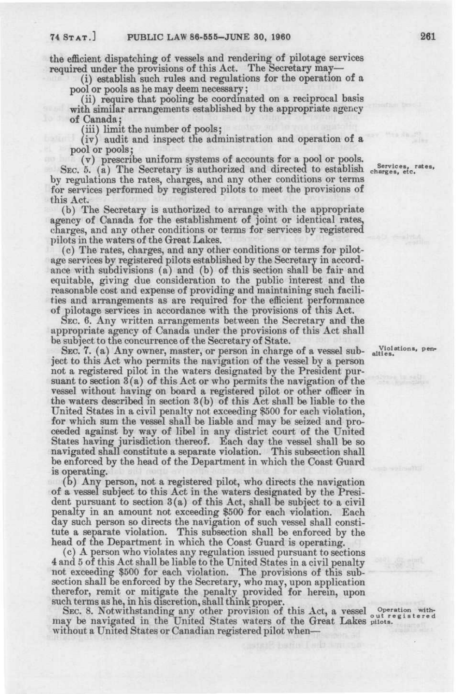the efficient dispatching of vessels and rendering of pilotage services required under the provisions of this Act. The Secretary may—

(i) establish such rules and regulations for the operation of a pool or pools as he may deem necessary;

(ii) require that pooling be coordmated on a reciprocal basis with similar arrangements established by the appropriate agency of Canada;

(iii) limit the number of pools;

(iv) audit and inspect the administration and operation of a pool or pools;

(v) prescribe uniform systems of accounts for a pool or pools. SEC. 5. (a) The Secretary is authorized and directed to establish Services, rates, by regulations the rates, charges, and any other conditions or terms for services performed by registered pilots to meet the provisions of this Act.

(b) The Secretary is authorized to arrange with the appropriate agency of Canada for the establishment of joint or identical rates, charges, and any other conditions or terms for services by registered pilots in the waters of the Great Lakes.

(c) The rates, charges, and any other conditions or terms for pilotage services by registered pilots established by the Secretary in accordance with subdivisions (a) and (b) of this section shall be fair and equitable, giving due consideration to the public interest and the reasonable cost and expense of providing and maintaining such facilities and arrangements as are required for the efficient performance of pilotage services in accordance with the provisions of this Act.

SEC. 6. Any written arrangements between the Secretary and the appropriate agency of Canada under the provisions of this Act shall be subject to the concurrence of the Secretary of State.

SEC. 7. (a) Any owner, master, or person in charge of a vessel subject to this Act who permits the navigation of the vessel by a person not a registered pilot in the waters designated by the President pursuant to section 3(a) of this Act or who permits the navigation of the vessel without having on board a registered pilot or other officer in the waters described in section  $3(b)$  of this Act shall be liable to the United States in a civil penalty not exceeding \$500 for each violation, for which sum the vessel shall be liable and may be seized and proceeded against by way of libel in any district court of the United States having jurisdiction thereof. Each day the vessel shall be so navigated shall constitute a separate violation. This subsection shall be enforced by the head of the Department in which the Coast Guard is operating.

(b) Any person, not a registered pilot, who directs the navigation of a vessel subject to this Act in the waters designated by the President pursuant to section 3(a) of this Act, shall be subject to a civil penalty in an amount not exceeding \$500 for each violation. Each day such person so directs the navigation of such vessel shall constitute a separate violation. This subsection shall be enforced by the head of the Department in which the Coast Guard is operating.

(c) A person who violates any regulation issued pursuant to sections 4 and 5 of this Act shall be liable to the United States in a civil penalty not exceeding \$500 for each violation. The provisions of this subsection shall be enforced by the Secretary, who may, upon application therefor, remit or mitigate the penalty provided for herein, upon such terms as he, in his discretion, shall think proper.

SEC. 8. Notwithstanding any other provision of this Act, a vessel may be navigated in the United States waters of the Great Lakes pilots. without a United States or Canadian registered pilot when— Operation with-out registere d

Violations, pen-alties.